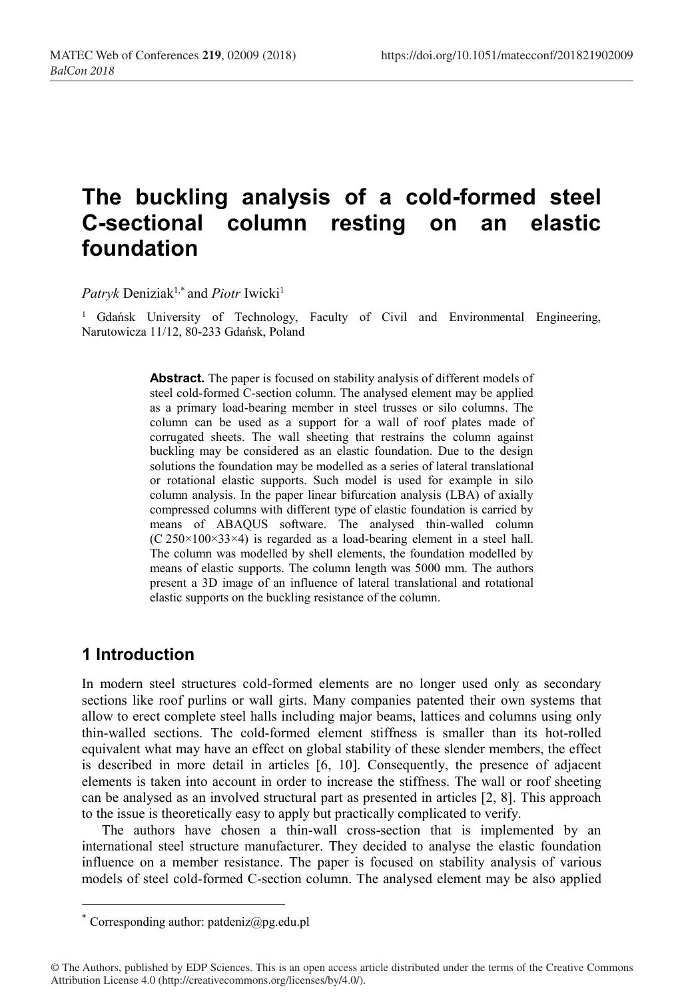# **The buckling analysis of a cold-formed steel C-sectional column resting on an elastic foundation**

*Patryk* Deniziak<sup>1,\*</sup> and *Piotr* Iwicki<sup>1</sup>

<sup>1</sup> Gdańsk University of Technology, Faculty of Civil and Environmental Engineering, Narutowicza 11/12, 80-233 Gdańsk, Poland

> Abstract. The paper is focused on stability analysis of different models of steel cold-formed C-section column. The analysed element may be applied as a primary load-bearing member in steel trusses or silo columns. The column can be used as a support for a wall of roof plates made of corrugated sheets. The wall sheeting that restrains the column against buckling may be considered as an elastic foundation. Due to the design solutions the foundation may be modelled as a series of lateral translational or rotational elastic supports. Such model is used for example in silo column analysis. In the paper linear bifurcation analysis (LBA) of axially compressed columns with different type of elastic foundation is carried by means of ABAQUS software. The analysed thin-walled column (C 250×100×33×4) is regarded as a load-bearing element in a steel hall. The column was modelled by shell elements, the foundation modelled by means of elastic supports. The column length was 5000 mm. The authors present a 3D image of an influence of lateral translational and rotational elastic supports on the buckling resistance of the column.

## **1 Introduction**

In modern steel structures cold-formed elements are no longer used only as secondary sections like roof purlins or wall girts. Many companies patented their own systems that allow to erect complete steel halls including major beams, lattices and columns using only thin-walled sections. The cold-formed element stiffness is smaller than its hot-rolled equivalent what may have an effect on global stability of these slender members, the effect is described in more detail in articles [6, 10]. Consequently, the presence of adjacent elements is taken into account in order to increase the stiffness. The wall or roof sheeting can be analysed as an involved structural part as presented in articles [2, 8]. This approach to the issue is theoretically easy to apply but practically complicated to verify.

The authors have chosen a thin-wall cross-section that is implemented by an international steel structure manufacturer. They decided to analyse the elastic foundation influence on a member resistance. The paper is focused on stability analysis of various models of steel cold-formed C-section column. The analysed element may be also applied

<sup>\*</sup> Corresponding author: patdeniz@pg.edu.pl

<sup>©</sup> The Authors, published by EDP Sciences. This is an open access article distributed under the terms of the Creative Commons Attribution License 4.0 (http://creativecommons.org/licenses/by/4.0/).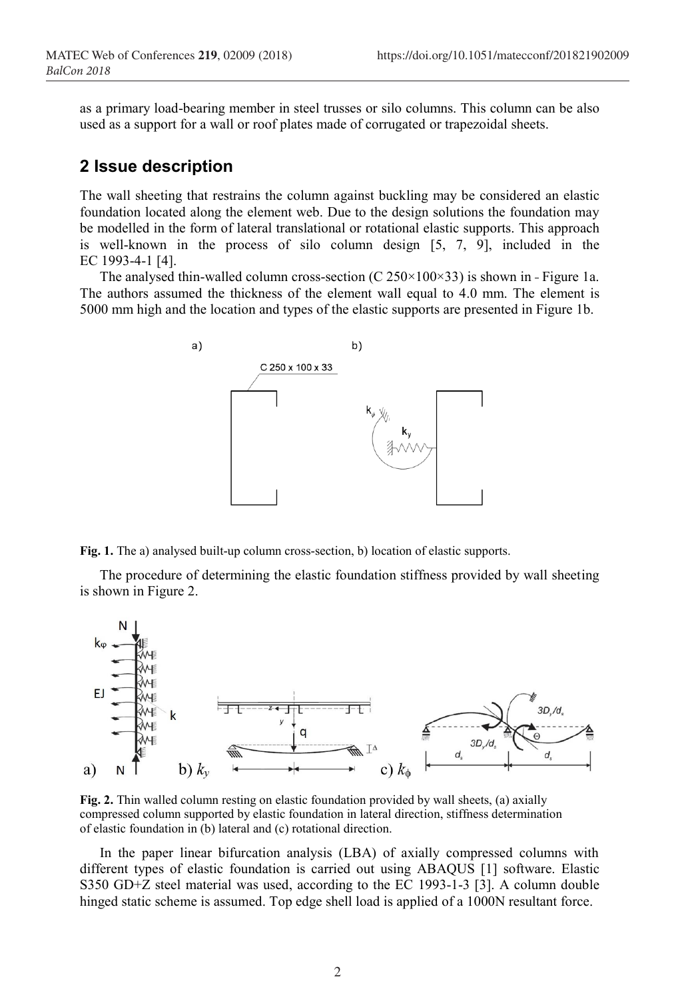as a primary load-bearing member in steel trusses or silo columns. This column can be also used as a support for a wall or roof plates made of corrugated or trapezoidal sheets.

## **2 Issue description**

The wall sheeting that restrains the column against buckling may be considered an elastic foundation located along the element web. Due to the design solutions the foundation may be modelled in the form of lateral translational or rotational elastic supports. This approach is well-known in the process of silo column design [5, 7, 9], included in the EC 1993-4-1 [4].

The analysed thin-walled column cross-section (C  $250 \times 100 \times 33$ ) is shown in - Figure 1a. The authors assumed the thickness of the element wall equal to 4.0 mm. The element is 5000 mm high and the location and types of the elastic supports are presented in Figure 1b.



**Fig. 1.** The a) analysed built-up column cross-section, b) location of elastic supports.

The procedure of determining the elastic foundation stiffness provided by wall sheeting is shown in Figure 2.



**Fig. 2.** Thin walled column resting on elastic foundation provided by wall sheets, (a) axially compressed column supported by elastic foundation in lateral direction, stiffness determination of elastic foundation in (b) lateral and (c) rotational direction.

In the paper linear bifurcation analysis (LBA) of axially compressed columns with different types of elastic foundation is carried out using ABAQUS [1] software. Elastic S350 GD+Z steel material was used, according to the EC 1993-1-3 [3]. A column double hinged static scheme is assumed. Top edge shell load is applied of a 1000N resultant force.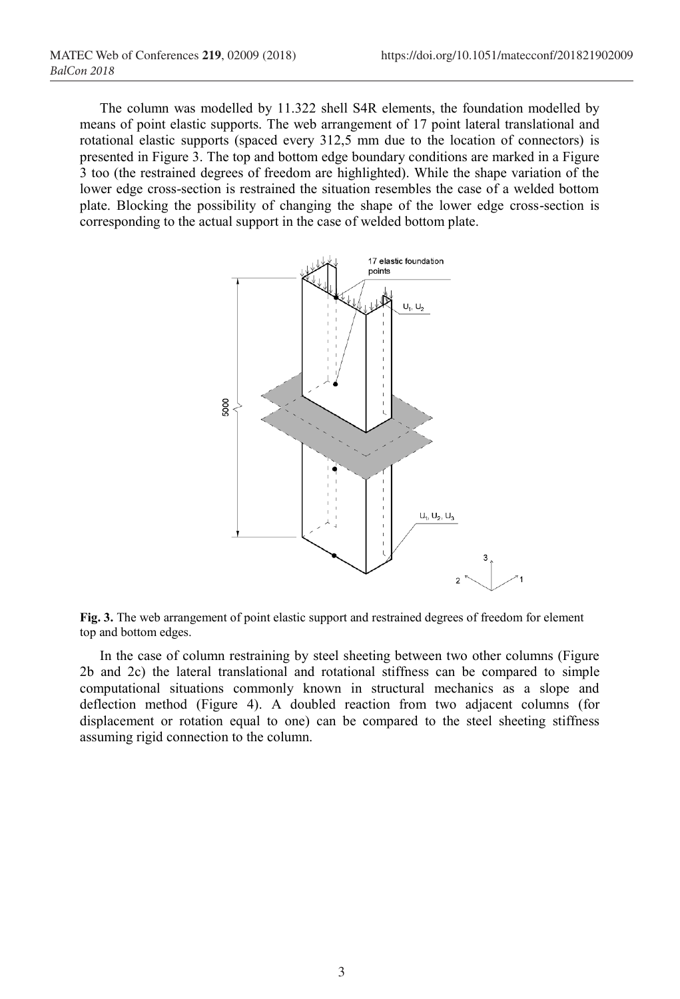The column was modelled by 11.322 shell S4R elements, the foundation modelled by means of point elastic supports. The web arrangement of 17 point lateral translational and rotational elastic supports (spaced every 312,5 mm due to the location of connectors) is presented in Figure 3. The top and bottom edge boundary conditions are marked in a Figure 3 too (the restrained degrees of freedom are highlighted). While the shape variation of the lower edge cross-section is restrained the situation resembles the case of a welded bottom plate. Blocking the possibility of changing the shape of the lower edge cross-section is corresponding to the actual support in the case of welded bottom plate.



**Fig. 3.** The web arrangement of point elastic support and restrained degrees of freedom for element top and bottom edges.

In the case of column restraining by steel sheeting between two other columns (Figure 2b and 2c) the lateral translational and rotational stiffness can be compared to simple computational situations commonly known in structural mechanics as a slope and deflection method (Figure 4). A doubled reaction from two adjacent columns (for displacement or rotation equal to one) can be compared to the steel sheeting stiffness assuming rigid connection to the column.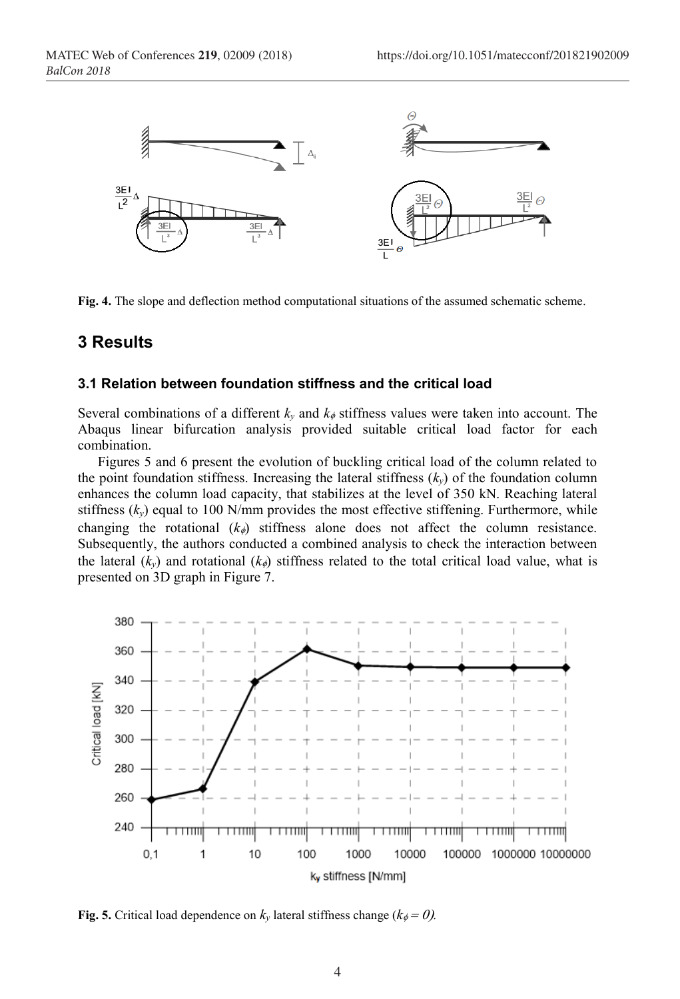

**Fig. 4.** The slope and deflection method computational situations of the assumed schematic scheme.

## **3 Results**

#### **3.1 Relation between foundation stiffness and the critical load**

Several combinations of a different  $k_y$  and  $k_\phi$  stiffness values were taken into account. The Abaqus linear bifurcation analysis provided suitable critical load factor for each combination.

Figures 5 and 6 present the evolution of buckling critical load of the column related to the point foundation stiffness. Increasing the lateral stiffness  $(k_y)$  of the foundation column enhances the column load capacity, that stabilizes at the level of 350 kN. Reaching lateral stiffness  $(k_y)$  equal to 100 N/mm provides the most effective stiffening. Furthermore, while changing the rotational  $(k_{\phi})$  stiffness alone does not affect the column resistance. Subsequently, the authors conducted a combined analysis to check the interaction between the lateral  $(k_v)$  and rotational  $(k_{\phi})$  stiffness related to the total critical load value, what is presented on 3D graph in Figure 7.



**Fig. 5.** Critical load dependence on  $k_y$  lateral stiffness change ( $k_\phi = 0$ ).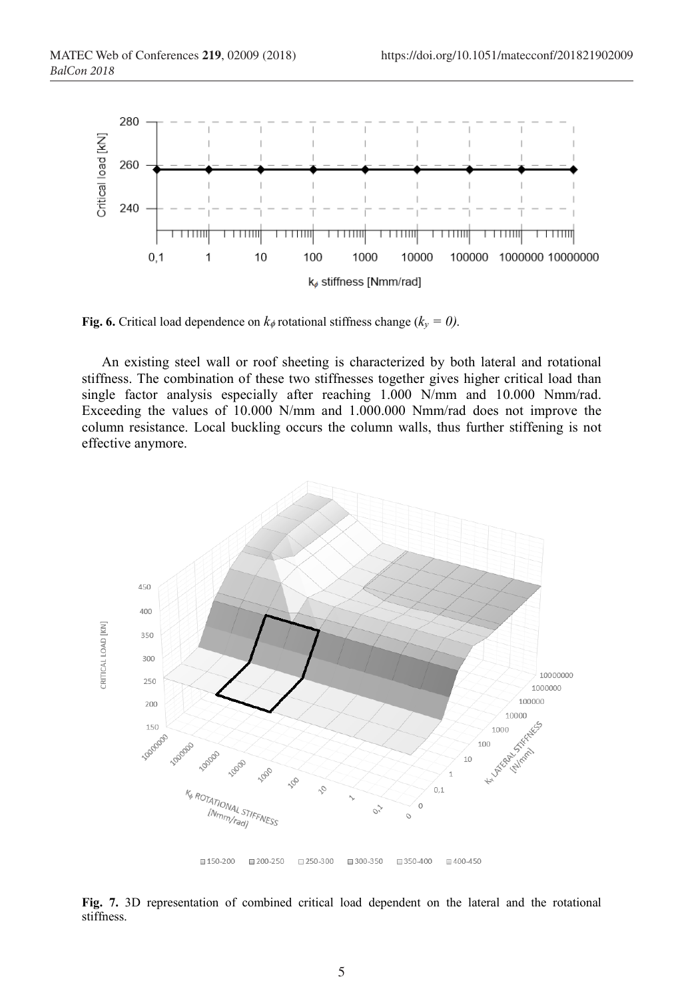

**Fig. 6.** Critical load dependence on  $k_{\phi}$  rotational stiffness change ( $k_{y} = 0$ ).

An existing steel wall or roof sheeting is characterized by both lateral and rotational stiffness. The combination of these two stiffnesses together gives higher critical load than single factor analysis especially after reaching 1.000 N/mm and 10.000 Nmm/rad. Exceeding the values of 10.000 N/mm and 1.000.000 Nmm/rad does not improve the column resistance. Local buckling occurs the column walls, thus further stiffening is not effective anymore.



**Fig. 7.** 3D representation of combined critical load dependent on the lateral and the rotational stiffness.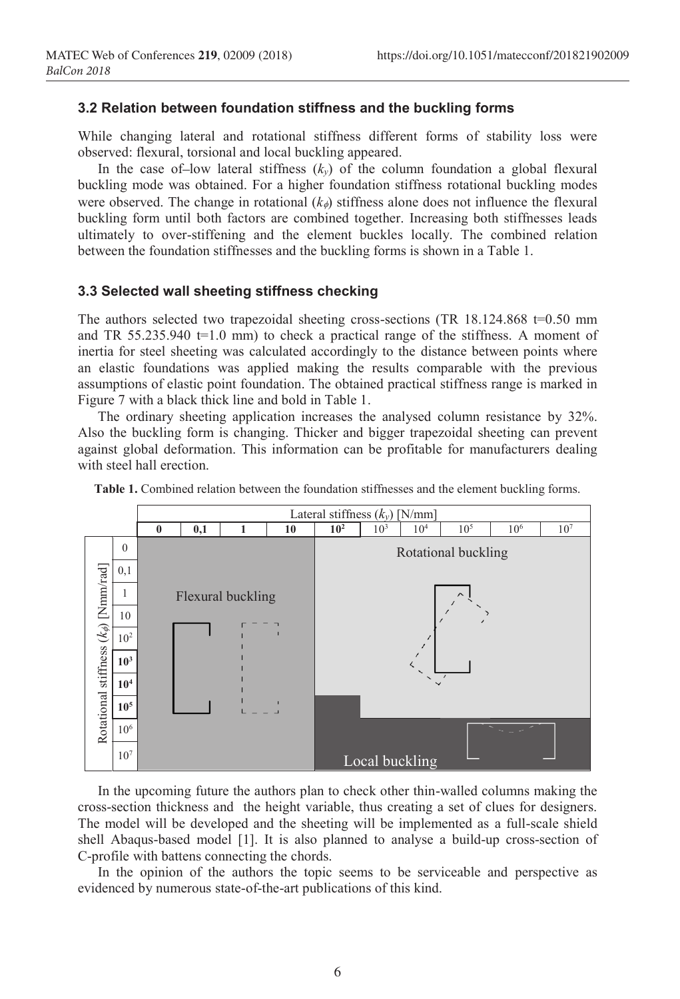### **3.2 Relation between foundation stiffness and the buckling forms**

While changing lateral and rotational stiffness different forms of stability loss were observed: flexural, torsional and local buckling appeared.

In the case of-low lateral stiffness  $(k_y)$  of the column foundation a global flexural buckling mode was obtained. For a higher foundation stiffness rotational buckling modes were observed. The change in rotational  $(k_{\phi})$  stiffness alone does not influence the flexural buckling form until both factors are combined together. Increasing both stiffnesses leads ultimately to over-stiffening and the element buckles locally. The combined relation between the foundation stiffnesses and the buckling forms is shown in a Table 1.

#### **3.3 Selected wall sheeting stiffness checking**

The authors selected two trapezoidal sheeting cross-sections (TR  $18.124.868$  t=0.50 mm and TR  $55.235.940$  t=1.0 mm) to check a practical range of the stiffness. A moment of inertia for steel sheeting was calculated accordingly to the distance between points where an elastic foundations was applied making the results comparable with the previous assumptions of elastic point foundation. The obtained practical stiffness range is marked in Figure 7 with a black thick line and bold in Table 1.

The ordinary sheeting application increases the analysed column resistance by 32%. Also the buckling form is changing. Thicker and bigger trapezoidal sheeting can prevent against global deformation. This information can be profitable for manufacturers dealing with steel hall erection.



**Table 1.** Combined relation between the foundation stiffnesses and the element buckling forms.

In the upcoming future the authors plan to check other thin-walled columns making the cross-section thickness and the height variable, thus creating a set of clues for designers. The model will be developed and the sheeting will be implemented as a full-scale shield shell Abaqus-based model [1]. It is also planned to analyse a build-up cross-section of C-profile with battens connecting the chords.

In the opinion of the authors the topic seems to be serviceable and perspective as evidenced by numerous state-of-the-art publications of this kind.